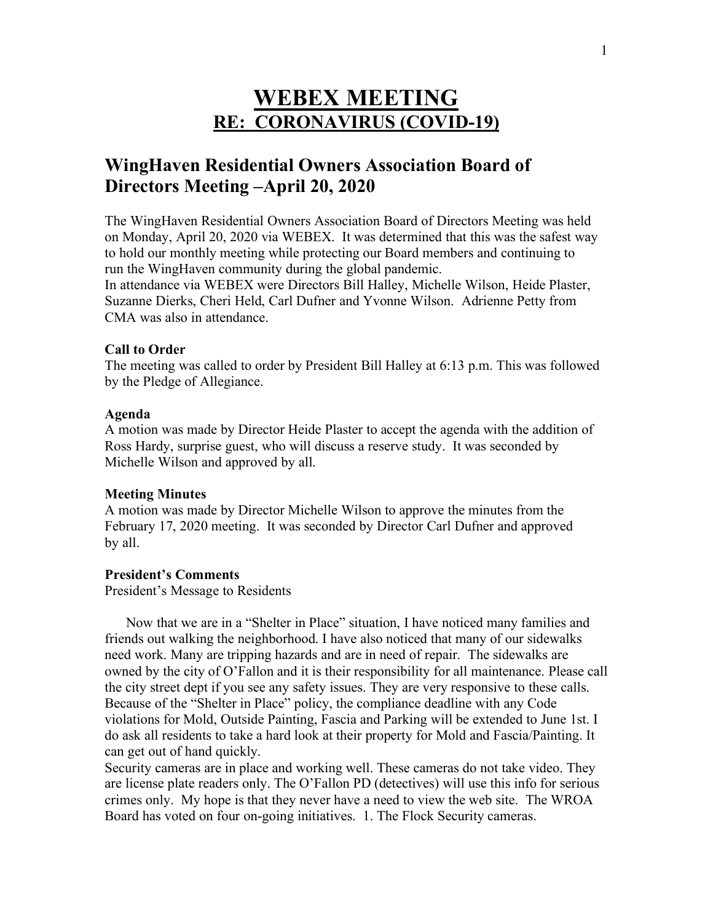# **WEBEX MEETING RE: CORONAVIRUS (COVID-19)**

## **WingHaven Residential Owners Association Board of Directors Meeting –April 20, 2020**

The WingHaven Residential Owners Association Board of Directors Meeting was held on Monday, April 20, 2020 via WEBEX. It was determined that this was the safest way to hold our monthly meeting while protecting our Board members and continuing to run the WingHaven community during the global pandemic.

In attendance via WEBEX were Directors Bill Halley, Michelle Wilson, Heide Plaster, Suzanne Dierks, Cheri Held, Carl Dufner and Yvonne Wilson. Adrienne Petty from CMA was also in attendance.

## **Call to Order**

The meeting was called to order by President Bill Halley at 6:13 p.m. This was followed by the Pledge of Allegiance.

#### **Agenda**

A motion was made by Director Heide Plaster to accept the agenda with the addition of Ross Hardy, surprise guest, who will discuss a reserve study. It was seconded by Michelle Wilson and approved by all.

## **Meeting Minutes**

A motion was made by Director Michelle Wilson to approve the minutes from the February 17, 2020 meeting. It was seconded by Director Carl Dufner and approved by all.

#### **President's Comments**

President's Message to Residents

 Now that we are in a "Shelter in Place" situation, I have noticed many families and friends out walking the neighborhood. I have also noticed that many of our sidewalks need work. Many are tripping hazards and are in need of repair. The sidewalks are owned by the city of O'Fallon and it is their responsibility for all maintenance. Please call the city street dept if you see any safety issues. They are very responsive to these calls. Because of the "Shelter in Place" policy, the compliance deadline with any Code violations for Mold, Outside Painting, Fascia and Parking will be extended to June 1st. I do ask all residents to take a hard look at their property for Mold and Fascia/Painting. It can get out of hand quickly.

Security cameras are in place and working well. These cameras do not take video. They are license plate readers only. The O'Fallon PD (detectives) will use this info for serious crimes only. My hope is that they never have a need to view the web site. The WROA Board has voted on four on-going initiatives. 1. The Flock Security cameras.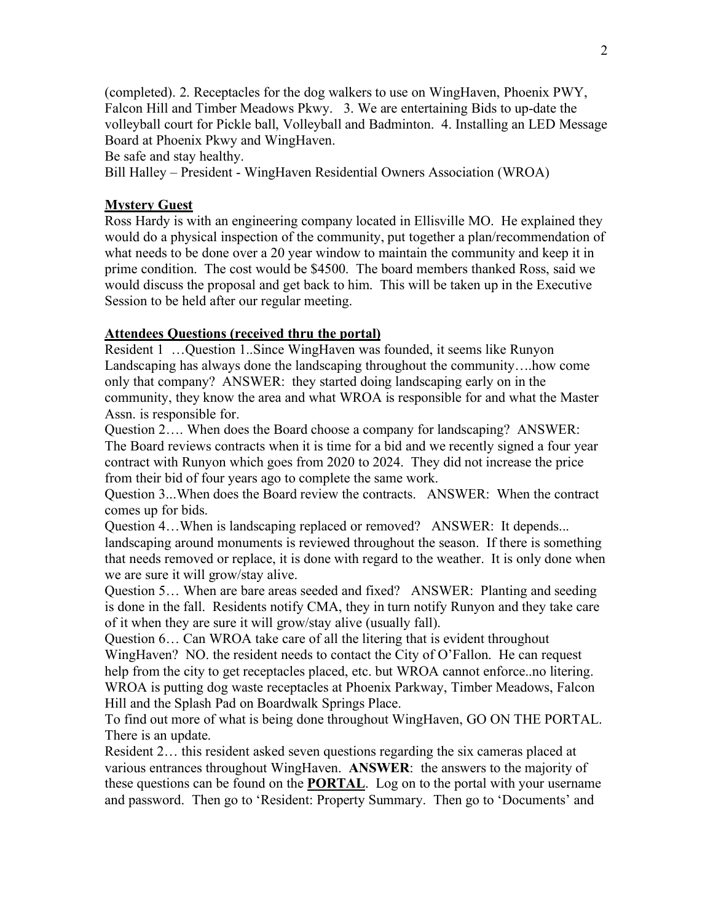(completed). 2. Receptacles for the dog walkers to use on WingHaven, Phoenix PWY, Falcon Hill and Timber Meadows Pkwy. 3. We are entertaining Bids to up-date the volleyball court for Pickle ball, Volleyball and Badminton. 4. Installing an LED Message Board at Phoenix Pkwy and WingHaven.

Be safe and stay healthy.

Bill Halley – President - WingHaven Residential Owners Association (WROA)

## **Mystery Guest**

Ross Hardy is with an engineering company located in Ellisville MO. He explained they would do a physical inspection of the community, put together a plan/recommendation of what needs to be done over a 20 year window to maintain the community and keep it in prime condition. The cost would be \$4500. The board members thanked Ross, said we would discuss the proposal and get back to him. This will be taken up in the Executive Session to be held after our regular meeting.

## **Attendees Questions (received thru the portal)**

Resident 1 …Question 1..Since WingHaven was founded, it seems like Runyon Landscaping has always done the landscaping throughout the community….how come only that company? ANSWER: they started doing landscaping early on in the community, they know the area and what WROA is responsible for and what the Master Assn. is responsible for.

Question 2…. When does the Board choose a company for landscaping? ANSWER: The Board reviews contracts when it is time for a bid and we recently signed a four year contract with Runyon which goes from 2020 to 2024. They did not increase the price from their bid of four years ago to complete the same work.

Question 3...When does the Board review the contracts. ANSWER: When the contract comes up for bids.

Question 4…When is landscaping replaced or removed? ANSWER: It depends... landscaping around monuments is reviewed throughout the season. If there is something that needs removed or replace, it is done with regard to the weather. It is only done when we are sure it will grow/stay alive.

Question 5… When are bare areas seeded and fixed? ANSWER: Planting and seeding is done in the fall. Residents notify CMA, they in turn notify Runyon and they take care of it when they are sure it will grow/stay alive (usually fall).

Question 6… Can WROA take care of all the litering that is evident throughout WingHaven? NO. the resident needs to contact the City of O'Fallon. He can request help from the city to get receptacles placed, etc. but WROA cannot enforce..no litering. WROA is putting dog waste receptacles at Phoenix Parkway, Timber Meadows, Falcon Hill and the Splash Pad on Boardwalk Springs Place.

To find out more of what is being done throughout WingHaven, GO ON THE PORTAL. There is an update.

Resident 2… this resident asked seven questions regarding the six cameras placed at various entrances throughout WingHaven. **ANSWER**: the answers to the majority of these questions can be found on the **PORTAL**. Log on to the portal with your username and password. Then go to 'Resident: Property Summary. Then go to 'Documents' and